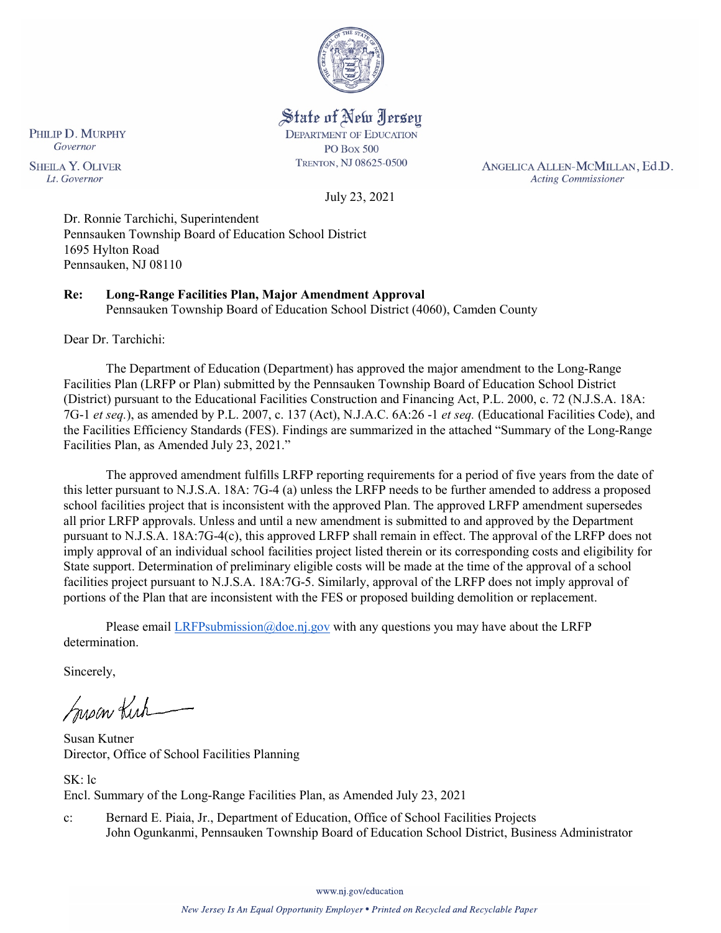

State of New Jersey

**DEPARTMENT OF EDUCATION PO Box 500** TRENTON, NJ 08625-0500

ANGELICA ALLEN-MCMILLAN, Ed.D. **Acting Commissioner** 

July 23, 2021

Lt. Governor Dr. Ronnie Tarchichi, Superintendent Pennsauken Township Board of Education School District

1695 Hylton Road Pennsauken, NJ 08110

PHILIP D. MURPHY Governor

**SHEILA Y. OLIVER** 

# **Re: Long-Range Facilities Plan, Major Amendment Approval**

Pennsauken Township Board of Education School District (4060), Camden County

Dear Dr. Tarchichi:

The Department of Education (Department) has approved the major amendment to the Long-Range Facilities Plan (LRFP or Plan) submitted by the Pennsauken Township Board of Education School District (District) pursuant to the Educational Facilities Construction and Financing Act, P.L. 2000, c. 72 (N.J.S.A. 18A: 7G-1 *et seq.*), as amended by P.L. 2007, c. 137 (Act), N.J.A.C. 6A:26 -1 *et seq.* (Educational Facilities Code), and the Facilities Efficiency Standards (FES). Findings are summarized in the attached "Summary of the Long-Range Facilities Plan, as Amended July 23, 2021."

The approved amendment fulfills LRFP reporting requirements for a period of five years from the date of this letter pursuant to N.J.S.A. 18A: 7G-4 (a) unless the LRFP needs to be further amended to address a proposed school facilities project that is inconsistent with the approved Plan. The approved LRFP amendment supersedes all prior LRFP approvals. Unless and until a new amendment is submitted to and approved by the Department pursuant to N.J.S.A. 18A:7G-4(c), this approved LRFP shall remain in effect. The approval of the LRFP does not imply approval of an individual school facilities project listed therein or its corresponding costs and eligibility for State support. Determination of preliminary eligible costs will be made at the time of the approval of a school facilities project pursuant to N.J.S.A. 18A:7G-5. Similarly, approval of the LRFP does not imply approval of portions of the Plan that are inconsistent with the FES or proposed building demolition or replacement.

Please email [LRFPsubmission@doe.nj.gov](mailto:LRFPsubmission@doe.nj.gov) with any questions you may have about the LRFP determination.

Sincerely,

Susan Kich

Susan Kutner Director, Office of School Facilities Planning

SK: lc Encl. Summary of the Long-Range Facilities Plan, as Amended July 23, 2021

c: Bernard E. Piaia, Jr., Department of Education, Office of School Facilities Projects John Ogunkanmi, Pennsauken Township Board of Education School District, Business Administrator

www.nj.gov/education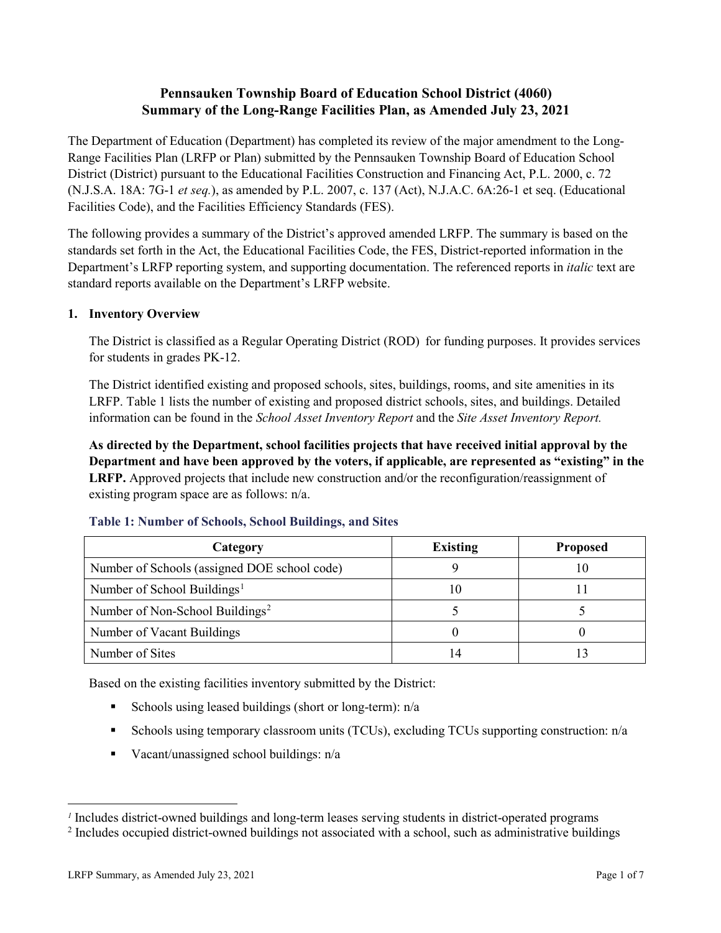## **Pennsauken Township Board of Education School District (4060) Summary of the Long-Range Facilities Plan, as Amended July 23, 2021**

The Department of Education (Department) has completed its review of the major amendment to the Long-Range Facilities Plan (LRFP or Plan) submitted by the Pennsauken Township Board of Education School District (District) pursuant to the Educational Facilities Construction and Financing Act, P.L. 2000, c. 72 (N.J.S.A. 18A: 7G-1 *et seq.*), as amended by P.L. 2007, c. 137 (Act), N.J.A.C. 6A:26-1 et seq. (Educational Facilities Code), and the Facilities Efficiency Standards (FES).

The following provides a summary of the District's approved amended LRFP. The summary is based on the standards set forth in the Act, the Educational Facilities Code, the FES, District-reported information in the Department's LRFP reporting system, and supporting documentation. The referenced reports in *italic* text are standard reports available on the Department's LRFP website.

#### **1. Inventory Overview**

The District is classified as a Regular Operating District (ROD) for funding purposes. It provides services for students in grades PK-12.

The District identified existing and proposed schools, sites, buildings, rooms, and site amenities in its LRFP. Table 1 lists the number of existing and proposed district schools, sites, and buildings. Detailed information can be found in the *School Asset Inventory Report* and the *Site Asset Inventory Report.*

**As directed by the Department, school facilities projects that have received initial approval by the Department and have been approved by the voters, if applicable, are represented as "existing" in the LRFP.** Approved projects that include new construction and/or the reconfiguration/reassignment of existing program space are as follows: n/a.

| Category                                     | <b>Existing</b> | <b>Proposed</b> |
|----------------------------------------------|-----------------|-----------------|
| Number of Schools (assigned DOE school code) |                 | 10              |
| Number of School Buildings <sup>1</sup>      |                 |                 |
| Number of Non-School Buildings <sup>2</sup>  |                 |                 |
| Number of Vacant Buildings                   |                 |                 |
| Number of Sites                              |                 |                 |

#### **Table 1: Number of Schools, School Buildings, and Sites**

Based on the existing facilities inventory submitted by the District:

- Schools using leased buildings (short or long-term):  $n/a$
- Schools using temporary classroom units (TCUs), excluding TCUs supporting construction: n/a
- Vacant/unassigned school buildings:  $n/a$

 $\overline{a}$ 

<span id="page-1-1"></span><span id="page-1-0"></span>*<sup>1</sup>* Includes district-owned buildings and long-term leases serving students in district-operated programs

<sup>&</sup>lt;sup>2</sup> Includes occupied district-owned buildings not associated with a school, such as administrative buildings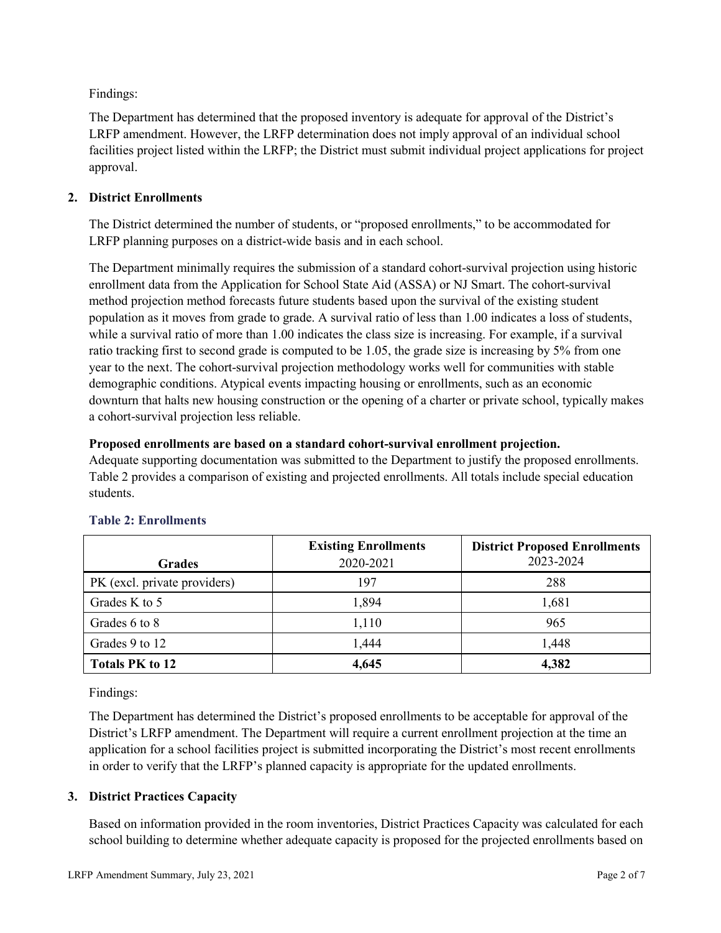Findings:

The Department has determined that the proposed inventory is adequate for approval of the District's LRFP amendment. However, the LRFP determination does not imply approval of an individual school facilities project listed within the LRFP; the District must submit individual project applications for project approval.

## **2. District Enrollments**

The District determined the number of students, or "proposed enrollments," to be accommodated for LRFP planning purposes on a district-wide basis and in each school.

The Department minimally requires the submission of a standard cohort-survival projection using historic enrollment data from the Application for School State Aid (ASSA) or NJ Smart. The cohort-survival method projection method forecasts future students based upon the survival of the existing student population as it moves from grade to grade. A survival ratio of less than 1.00 indicates a loss of students, while a survival ratio of more than 1.00 indicates the class size is increasing. For example, if a survival ratio tracking first to second grade is computed to be 1.05, the grade size is increasing by 5% from one year to the next. The cohort-survival projection methodology works well for communities with stable demographic conditions. Atypical events impacting housing or enrollments, such as an economic downturn that halts new housing construction or the opening of a charter or private school, typically makes a cohort-survival projection less reliable.

#### **Proposed enrollments are based on a standard cohort-survival enrollment projection.**

Adequate supporting documentation was submitted to the Department to justify the proposed enrollments. Table 2 provides a comparison of existing and projected enrollments. All totals include special education students.

|                              | <b>Existing Enrollments</b> | <b>District Proposed Enrollments</b> |
|------------------------------|-----------------------------|--------------------------------------|
| <b>Grades</b>                | 2020-2021                   | 2023-2024                            |
| PK (excl. private providers) | 197                         | 288                                  |
| Grades K to 5                | 1,894                       | 1,681                                |
| Grades 6 to 8                | 1,110                       | 965                                  |
| Grades 9 to 12               | 1,444                       | 1,448                                |
| <b>Totals PK to 12</b>       | 4,645                       | 4,382                                |

## **Table 2: Enrollments**

Findings:

The Department has determined the District's proposed enrollments to be acceptable for approval of the District's LRFP amendment. The Department will require a current enrollment projection at the time an application for a school facilities project is submitted incorporating the District's most recent enrollments in order to verify that the LRFP's planned capacity is appropriate for the updated enrollments.

## **3. District Practices Capacity**

Based on information provided in the room inventories, District Practices Capacity was calculated for each school building to determine whether adequate capacity is proposed for the projected enrollments based on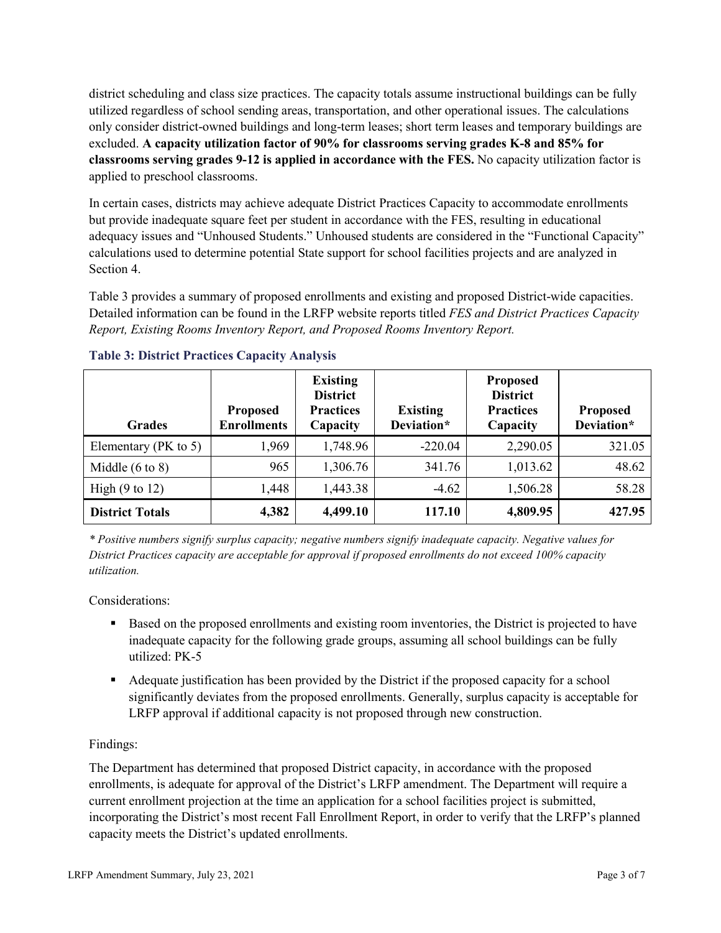district scheduling and class size practices. The capacity totals assume instructional buildings can be fully utilized regardless of school sending areas, transportation, and other operational issues. The calculations only consider district-owned buildings and long-term leases; short term leases and temporary buildings are excluded. **A capacity utilization factor of 90% for classrooms serving grades K-8 and 85% for classrooms serving grades 9-12 is applied in accordance with the FES.** No capacity utilization factor is applied to preschool classrooms.

In certain cases, districts may achieve adequate District Practices Capacity to accommodate enrollments but provide inadequate square feet per student in accordance with the FES, resulting in educational adequacy issues and "Unhoused Students." Unhoused students are considered in the "Functional Capacity" calculations used to determine potential State support for school facilities projects and are analyzed in Section 4.

Table 3 provides a summary of proposed enrollments and existing and proposed District-wide capacities. Detailed information can be found in the LRFP website reports titled *FES and District Practices Capacity Report, Existing Rooms Inventory Report, and Proposed Rooms Inventory Report.*

| <b>Grades</b>              | <b>Proposed</b><br><b>Enrollments</b> | <b>Existing</b><br><b>District</b><br><b>Practices</b><br>Capacity | <b>Existing</b><br>Deviation* | <b>Proposed</b><br><b>District</b><br><b>Practices</b><br>Capacity | <b>Proposed</b><br>Deviation* |
|----------------------------|---------------------------------------|--------------------------------------------------------------------|-------------------------------|--------------------------------------------------------------------|-------------------------------|
| Elementary ( $PK$ to 5)    | 1,969                                 | 1,748.96                                                           | $-220.04$                     | 2,290.05                                                           | 321.05                        |
| Middle $(6 \text{ to } 8)$ | 965                                   | 1,306.76                                                           | 341.76                        | 1,013.62                                                           | 48.62                         |
| High $(9 \text{ to } 12)$  | 1,448                                 | 1,443.38                                                           | $-4.62$                       | 1,506.28                                                           | 58.28                         |
| <b>District Totals</b>     | 4,382                                 | 4,499.10                                                           | 117.10                        | 4,809.95                                                           | 427.95                        |

## **Table 3: District Practices Capacity Analysis**

*\* Positive numbers signify surplus capacity; negative numbers signify inadequate capacity. Negative values for District Practices capacity are acceptable for approval if proposed enrollments do not exceed 100% capacity utilization.*

Considerations:

- Based on the proposed enrollments and existing room inventories, the District is projected to have inadequate capacity for the following grade groups, assuming all school buildings can be fully utilized: PK-5
- Adequate justification has been provided by the District if the proposed capacity for a school significantly deviates from the proposed enrollments. Generally, surplus capacity is acceptable for LRFP approval if additional capacity is not proposed through new construction.

## Findings:

The Department has determined that proposed District capacity, in accordance with the proposed enrollments, is adequate for approval of the District's LRFP amendment. The Department will require a current enrollment projection at the time an application for a school facilities project is submitted, incorporating the District's most recent Fall Enrollment Report, in order to verify that the LRFP's planned capacity meets the District's updated enrollments.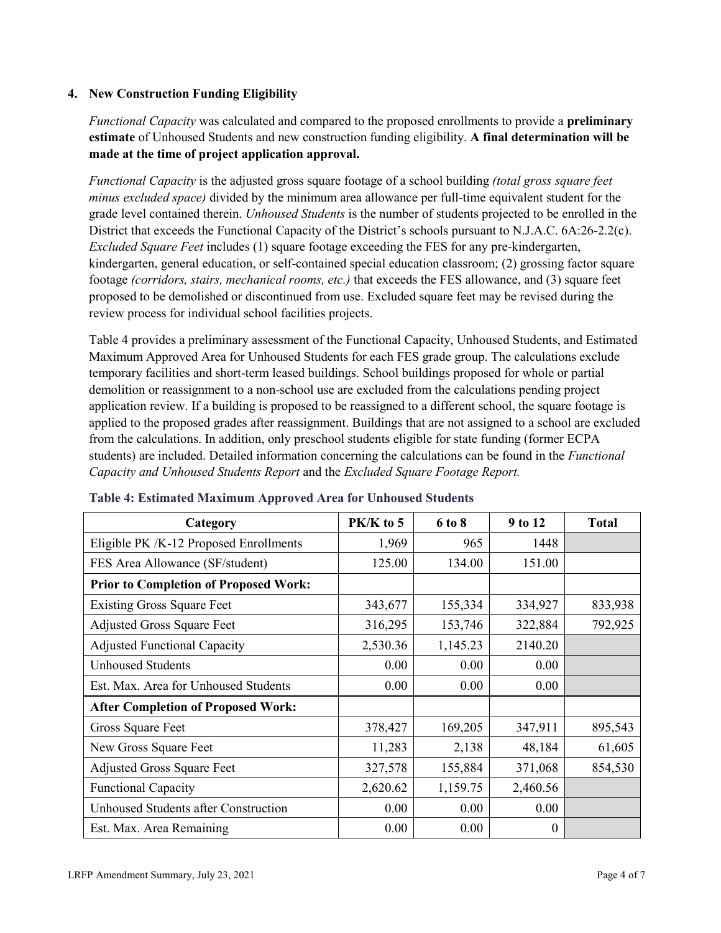## **4. New Construction Funding Eligibility**

*Functional Capacity* was calculated and compared to the proposed enrollments to provide a **preliminary estimate** of Unhoused Students and new construction funding eligibility. **A final determination will be made at the time of project application approval.**

*Functional Capacity* is the adjusted gross square footage of a school building *(total gross square feet minus excluded space)* divided by the minimum area allowance per full-time equivalent student for the grade level contained therein. *Unhoused Students* is the number of students projected to be enrolled in the District that exceeds the Functional Capacity of the District's schools pursuant to N.J.A.C. 6A:26-2.2(c). *Excluded Square Feet* includes (1) square footage exceeding the FES for any pre-kindergarten, kindergarten, general education, or self-contained special education classroom; (2) grossing factor square footage *(corridors, stairs, mechanical rooms, etc.)* that exceeds the FES allowance, and (3) square feet proposed to be demolished or discontinued from use. Excluded square feet may be revised during the review process for individual school facilities projects.

Table 4 provides a preliminary assessment of the Functional Capacity, Unhoused Students, and Estimated Maximum Approved Area for Unhoused Students for each FES grade group. The calculations exclude temporary facilities and short-term leased buildings. School buildings proposed for whole or partial demolition or reassignment to a non-school use are excluded from the calculations pending project application review. If a building is proposed to be reassigned to a different school, the square footage is applied to the proposed grades after reassignment. Buildings that are not assigned to a school are excluded from the calculations. In addition, only preschool students eligible for state funding (former ECPA students) are included. Detailed information concerning the calculations can be found in the *Functional Capacity and Unhoused Students Report* and the *Excluded Square Footage Report.*

| Category                                     | $PK/K$ to 5 | 6 to 8   | 9 to 12  | <b>Total</b> |
|----------------------------------------------|-------------|----------|----------|--------------|
| Eligible PK /K-12 Proposed Enrollments       | 1,969       | 965      | 1448     |              |
| FES Area Allowance (SF/student)              | 125.00      | 134.00   | 151.00   |              |
| <b>Prior to Completion of Proposed Work:</b> |             |          |          |              |
| <b>Existing Gross Square Feet</b>            | 343,677     | 155,334  | 334,927  | 833,938      |
| <b>Adjusted Gross Square Feet</b>            | 316,295     | 153,746  | 322,884  | 792,925      |
| <b>Adjusted Functional Capacity</b>          | 2,530.36    | 1,145.23 | 2140.20  |              |
| <b>Unhoused Students</b>                     | 0.00        | 0.00     | 0.00     |              |
| Est. Max. Area for Unhoused Students         | 0.00        | 0.00     | 0.00     |              |
| <b>After Completion of Proposed Work:</b>    |             |          |          |              |
| Gross Square Feet                            | 378,427     | 169,205  | 347,911  | 895,543      |
| New Gross Square Feet                        | 11,283      | 2,138    | 48,184   | 61,605       |
| <b>Adjusted Gross Square Feet</b>            | 327,578     | 155,884  | 371,068  | 854,530      |
| <b>Functional Capacity</b>                   | 2,620.62    | 1,159.75 | 2,460.56 |              |
| <b>Unhoused Students after Construction</b>  | 0.00        | 0.00     | 0.00     |              |
| Est. Max. Area Remaining                     | 0.00        | 0.00     | $\theta$ |              |

#### **Table 4: Estimated Maximum Approved Area for Unhoused Students**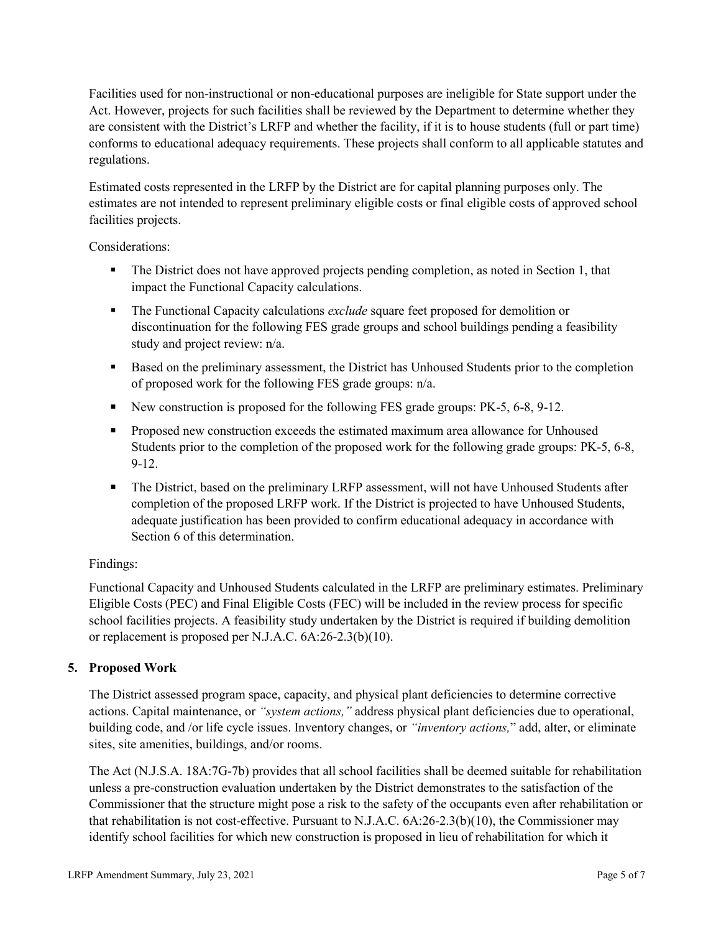Facilities used for non-instructional or non-educational purposes are ineligible for State support under the Act. However, projects for such facilities shall be reviewed by the Department to determine whether they are consistent with the District's LRFP and whether the facility, if it is to house students (full or part time) conforms to educational adequacy requirements. These projects shall conform to all applicable statutes and regulations.

Estimated costs represented in the LRFP by the District are for capital planning purposes only. The estimates are not intended to represent preliminary eligible costs or final eligible costs of approved school facilities projects.

Considerations:

- The District does not have approved projects pending completion, as noted in Section 1, that impact the Functional Capacity calculations.
- **The Functional Capacity calculations** *exclude* square feet proposed for demolition or discontinuation for the following FES grade groups and school buildings pending a feasibility study and project review: n/a.
- Based on the preliminary assessment, the District has Unhoused Students prior to the completion of proposed work for the following FES grade groups: n/a.
- New construction is proposed for the following FES grade groups: PK-5, 6-8, 9-12.
- Proposed new construction exceeds the estimated maximum area allowance for Unhoused Students prior to the completion of the proposed work for the following grade groups: PK-5, 6-8, 9-12.
- The District, based on the preliminary LRFP assessment, will not have Unhoused Students after completion of the proposed LRFP work. If the District is projected to have Unhoused Students, adequate justification has been provided to confirm educational adequacy in accordance with Section 6 of this determination.

## Findings:

Functional Capacity and Unhoused Students calculated in the LRFP are preliminary estimates. Preliminary Eligible Costs (PEC) and Final Eligible Costs (FEC) will be included in the review process for specific school facilities projects. A feasibility study undertaken by the District is required if building demolition or replacement is proposed per N.J.A.C. 6A:26-2.3(b)(10).

## **5. Proposed Work**

The District assessed program space, capacity, and physical plant deficiencies to determine corrective actions. Capital maintenance, or *"system actions,"* address physical plant deficiencies due to operational, building code, and /or life cycle issues. Inventory changes, or *"inventory actions,*" add, alter, or eliminate sites, site amenities, buildings, and/or rooms.

The Act (N.J.S.A. 18A:7G-7b) provides that all school facilities shall be deemed suitable for rehabilitation unless a pre-construction evaluation undertaken by the District demonstrates to the satisfaction of the Commissioner that the structure might pose a risk to the safety of the occupants even after rehabilitation or that rehabilitation is not cost-effective. Pursuant to N.J.A.C. 6A:26-2.3(b)(10), the Commissioner may identify school facilities for which new construction is proposed in lieu of rehabilitation for which it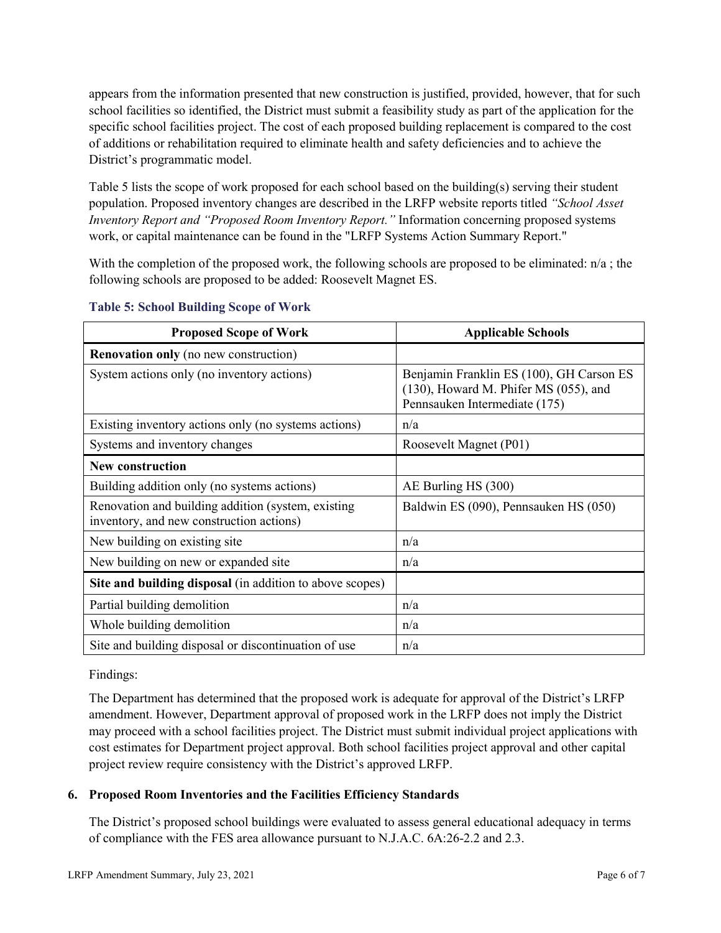appears from the information presented that new construction is justified, provided, however, that for such school facilities so identified, the District must submit a feasibility study as part of the application for the specific school facilities project. The cost of each proposed building replacement is compared to the cost of additions or rehabilitation required to eliminate health and safety deficiencies and to achieve the District's programmatic model.

Table 5 lists the scope of work proposed for each school based on the building(s) serving their student population. Proposed inventory changes are described in the LRFP website reports titled *"School Asset Inventory Report and "Proposed Room Inventory Report."* Information concerning proposed systems work, or capital maintenance can be found in the "LRFP Systems Action Summary Report."

With the completion of the proposed work, the following schools are proposed to be eliminated:  $n/a$ ; the following schools are proposed to be added: Roosevelt Magnet ES.

| <b>Proposed Scope of Work</b>                                                                  | <b>Applicable Schools</b>                                                                                          |
|------------------------------------------------------------------------------------------------|--------------------------------------------------------------------------------------------------------------------|
| <b>Renovation only</b> (no new construction)                                                   |                                                                                                                    |
| System actions only (no inventory actions)                                                     | Benjamin Franklin ES (100), GH Carson ES<br>(130), Howard M. Phifer MS (055), and<br>Pennsauken Intermediate (175) |
| Existing inventory actions only (no systems actions)                                           | n/a                                                                                                                |
| Systems and inventory changes                                                                  | Roosevelt Magnet (P01)                                                                                             |
| <b>New construction</b>                                                                        |                                                                                                                    |
| Building addition only (no systems actions)                                                    | AE Burling HS (300)                                                                                                |
| Renovation and building addition (system, existing<br>inventory, and new construction actions) | Baldwin ES (090), Pennsauken HS (050)                                                                              |
| New building on existing site                                                                  | n/a                                                                                                                |
| New building on new or expanded site                                                           | n/a                                                                                                                |
| Site and building disposal (in addition to above scopes)                                       |                                                                                                                    |
| Partial building demolition                                                                    | n/a                                                                                                                |
| Whole building demolition                                                                      | n/a                                                                                                                |
| Site and building disposal or discontinuation of use                                           | n/a                                                                                                                |

## **Table 5: School Building Scope of Work**

## Findings:

The Department has determined that the proposed work is adequate for approval of the District's LRFP amendment. However, Department approval of proposed work in the LRFP does not imply the District may proceed with a school facilities project. The District must submit individual project applications with cost estimates for Department project approval. Both school facilities project approval and other capital project review require consistency with the District's approved LRFP.

## **6. Proposed Room Inventories and the Facilities Efficiency Standards**

The District's proposed school buildings were evaluated to assess general educational adequacy in terms of compliance with the FES area allowance pursuant to N.J.A.C. 6A:26-2.2 and 2.3.